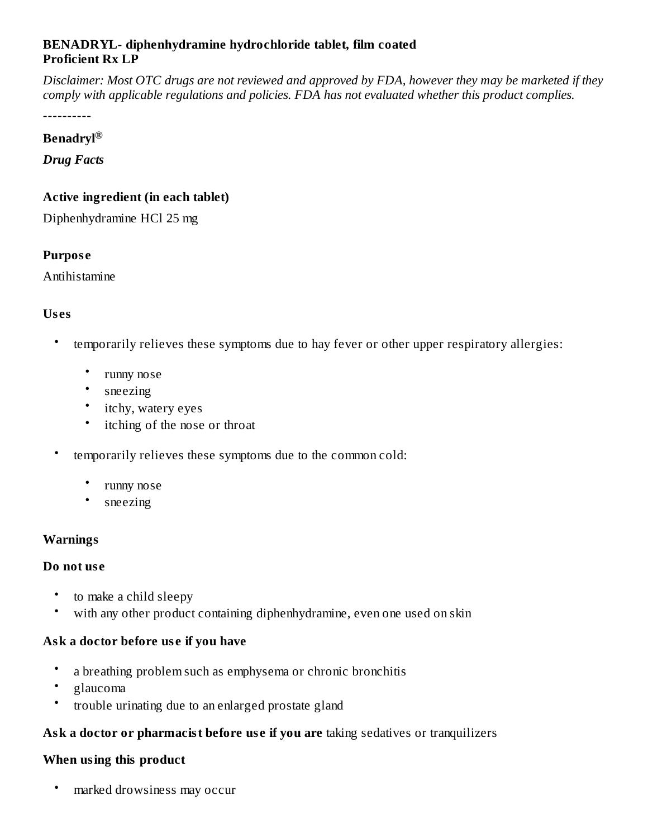#### **BENADRYL- diphenhydramine hydrochloride tablet, film coated Proficient Rx LP**

Disclaimer: Most OTC drugs are not reviewed and approved by FDA, however they may be marketed if they *comply with applicable regulations and policies. FDA has not evaluated whether this product complies.*

----------

#### **Benadryl ®**

*Drug Facts*

#### **Active ingredient (in each tablet)**

Diphenhydramine HCl 25 mg

#### **Purpos e**

Antihistamine

### **Us es**

- temporarily relieves these symptoms due to hay fever or other upper respiratory allergies:
	- runny nose
	- sneezing
	- itchy, watery eyes
	- itching of the nose or throat
- temporarily relieves these symptoms due to the common cold:
	- runny nose
	- sneezing

#### **Warnings**

#### **Do not us e**

- to make a child sleepy
- with any other product containing diphenhydramine, even one used on skin

#### **Ask a doctor before us e if you have**

- a breathing problem such as emphysema or chronic bronchitis
- glaucoma
- trouble urinating due to an enlarged prostate gland

#### **Ask a doctor or pharmacist before us e if you are** taking sedatives or tranquilizers

#### **When using this product**

• marked drowsiness may occur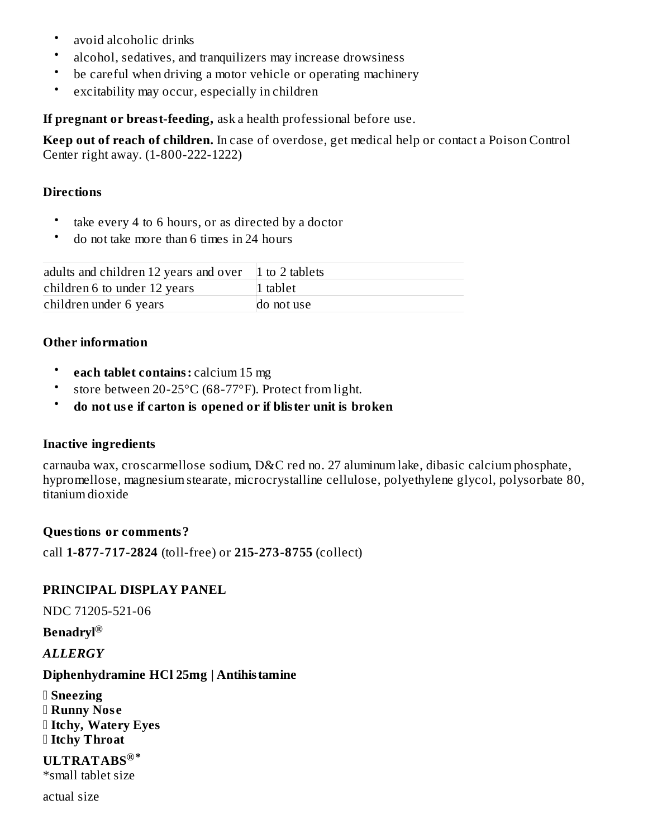- avoid alcoholic drinks
- alcohol, sedatives, and tranquilizers may increase drowsiness
- be careful when driving a motor vehicle or operating machinery
- excitability may occur, especially in children

**If pregnant or breast-feeding,** ask a health professional before use.

**Keep out of reach of children.** In case of overdose, get medical help or contact a Poison Control Center right away. (1-800-222-1222)

#### **Directions**

- take every 4 to 6 hours, or as directed by a doctor
- do not take more than 6 times in 24 hours

| adults and children 12 years and over 1 to 2 tablets |            |
|------------------------------------------------------|------------|
| children 6 to under 12 years                         | 1 tablet   |
| children under 6 years                               | do not use |

### **Other information**

- **each tablet contains:** calcium 15 mg
- store between 20-25°C (68-77°F). Protect from light.
- **do not us e if carton is opened or if blister unit is broken**

#### **Inactive ingredients**

carnauba wax, croscarmellose sodium, D&C red no. 27 aluminum lake, dibasic calcium phosphate, hypromellose, magnesium stearate, microcrystalline cellulose, polyethylene glycol, polysorbate 80, titanium dioxide

#### **Questions or comments?**

call **1-877-717-2824** (toll-free) or **215-273-8755** (collect)

#### **PRINCIPAL DISPLAY PANEL**

NDC 71205-521-06

**Benadryl ®**

*ALLERGY*

#### **Diphenhydramine HCl 25mg | Antihistamine**

 **Sneezing Runny Nos e Itchy, Watery Eyes Itchy Throat**

**ULTRATABS ®\***\*small tablet size

actual size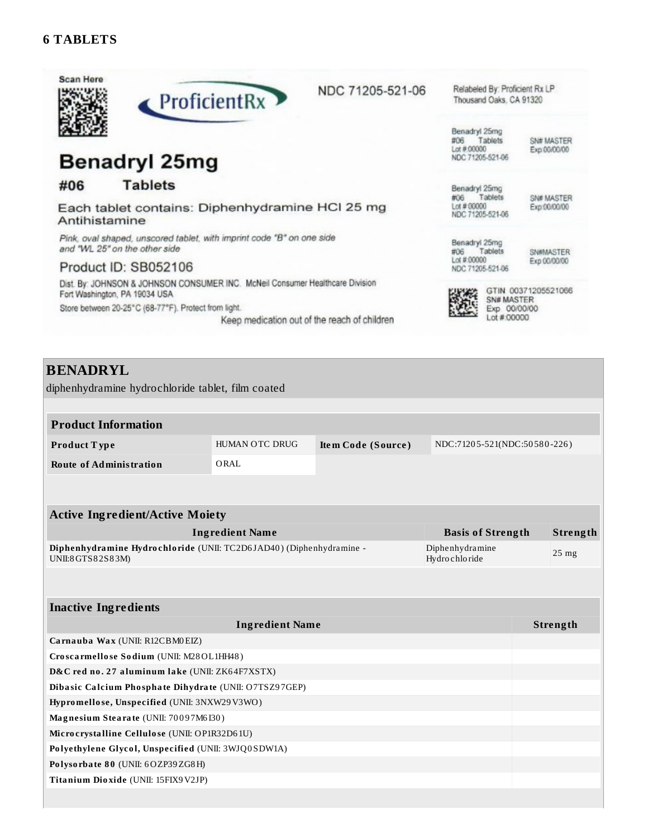



# **Benadryl 25mg**

#### **Tablets** #06

Each tablet contains: Diphenhydramine HCI 25 mg Antihistamine

Pink, oval shaped, unscored tablet, with imprint code "B" on one side and "WL 25" on the other side

#### Product ID: SB052106

Dist. By: JOHNSON & JOHNSON CONSUMER INC. McNeil Consumer Healthcare Division Fort Washington, PA 19034 USA Store between 20-25°C (68-77°F). Protect from light.

Keep medication out of the reach of children

Relabeled By: Proficient Rx LP Thousand Oaks, CA 91320

Benadryl 25mg #06 Tablets Lot  $#00000$ NDC 71205-521-06

SN# MASTER Exp.00/00/00

Benadryl 25mg #06 Tablets<br>Lot#00000 NDC 71205-521-06

SN# MASTER Exp:00/00/00

Benadryl 25mg Tablets #06 Lot #:00000 NDC 71205-521-06

SN#MASTER Exp 00/00/00



GTIN 00371205521066 SN# MASTER Exp 00/00/00 Lot #:00000

### **BENADRYL**

diphenhydramine hydrochloride tablet, film coated

| <b>Product Information</b>                                                               |                                    |                    |                              |  |                 |
|------------------------------------------------------------------------------------------|------------------------------------|--------------------|------------------------------|--|-----------------|
| Product Type                                                                             | <b>HUMAN OTC DRUG</b>              | Item Code (Source) | NDC:71205-521(NDC:50580-226) |  |                 |
| <b>Route of Administration</b>                                                           | ORAL                               |                    |                              |  |                 |
|                                                                                          |                                    |                    |                              |  |                 |
|                                                                                          |                                    |                    |                              |  |                 |
| <b>Active Ingredient/Active Moiety</b>                                                   |                                    |                    |                              |  |                 |
| <b>Ingredient Name</b>                                                                   | <b>Basis of Strength</b>           |                    | Strength                     |  |                 |
| Diphenhydramine Hydrochloride (UNII: TC2D6JAD40) (Diphenhydramine -<br>UNII:8 GTS82S83M) | Diphenhydramine<br>Hydro chlo ride |                    | $25 \text{ mg}$              |  |                 |
|                                                                                          |                                    |                    |                              |  |                 |
|                                                                                          |                                    |                    |                              |  |                 |
| <b>Inactive Ingredients</b>                                                              |                                    |                    |                              |  |                 |
|                                                                                          | <b>Ingredient Name</b>             |                    |                              |  | <b>Strength</b> |
| Carnauba Wax (UNII: R12CBM0EIZ)                                                          |                                    |                    |                              |  |                 |
| Croscarmellose Sodium (UNII: M28OL1HH48)                                                 |                                    |                    |                              |  |                 |

D&C red no. 27 aluminum lake (UNII: ZK64F7XSTX) Dibasic Calcium Phosphate Dihydrate (UNII: O7TSZ97GEP)

Hypromellose, Unspecified (UNII: 3NXW29V3WO)

Magnesium Stearate (UNII: 70097M6I30) Microcrystalline Cellulose (UNII: OP1R32D61U)

Polyethylene Glycol, Unspecified (UNII: 3WJQ0SDW1A)

Polysorbate 80 (UNII: 6OZP39ZG8H)

Titanium Dioxide (UNII: 15FIX9V2JP)

NDC 71205-521-06